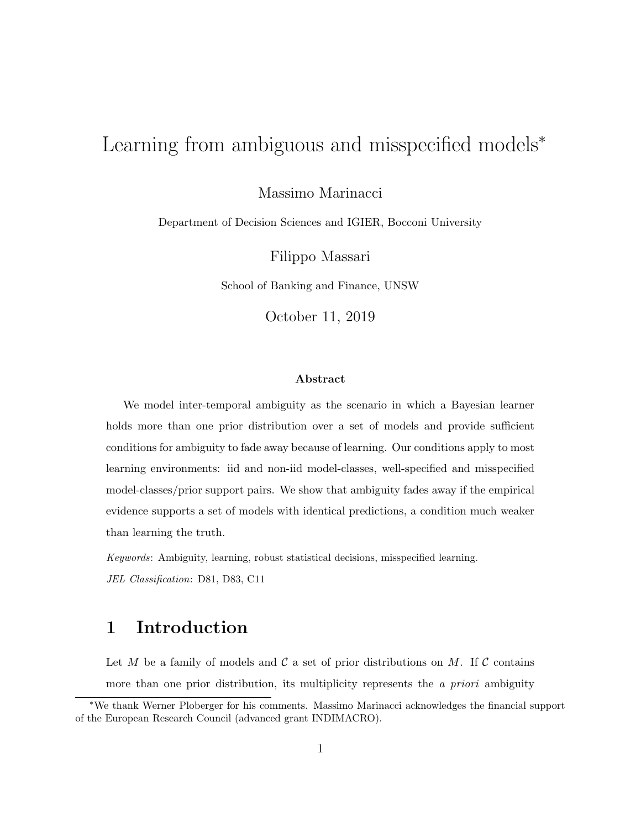# Learning from ambiguous and misspecified models<sup>∗</sup>

Massimo Marinacci

Department of Decision Sciences and IGIER, Bocconi University

Filippo Massari

School of Banking and Finance, UNSW

October 11, 2019

### Abstract

We model inter-temporal ambiguity as the scenario in which a Bayesian learner holds more than one prior distribution over a set of models and provide sufficient conditions for ambiguity to fade away because of learning. Our conditions apply to most learning environments: iid and non-iid model-classes, well-specified and misspecified model-classes/prior support pairs. We show that ambiguity fades away if the empirical evidence supports a set of models with identical predictions, a condition much weaker than learning the truth.

Keywords: Ambiguity, learning, robust statistical decisions, misspecified learning. JEL Classification: D81, D83, C11

## 1 Introduction

Let M be a family of models and C a set of prior distributions on M. If C contains more than one prior distribution, its multiplicity represents the *a priori* ambiguity

<sup>∗</sup>We thank Werner Ploberger for his comments. Massimo Marinacci acknowledges the financial support of the European Research Council (advanced grant INDIMACRO).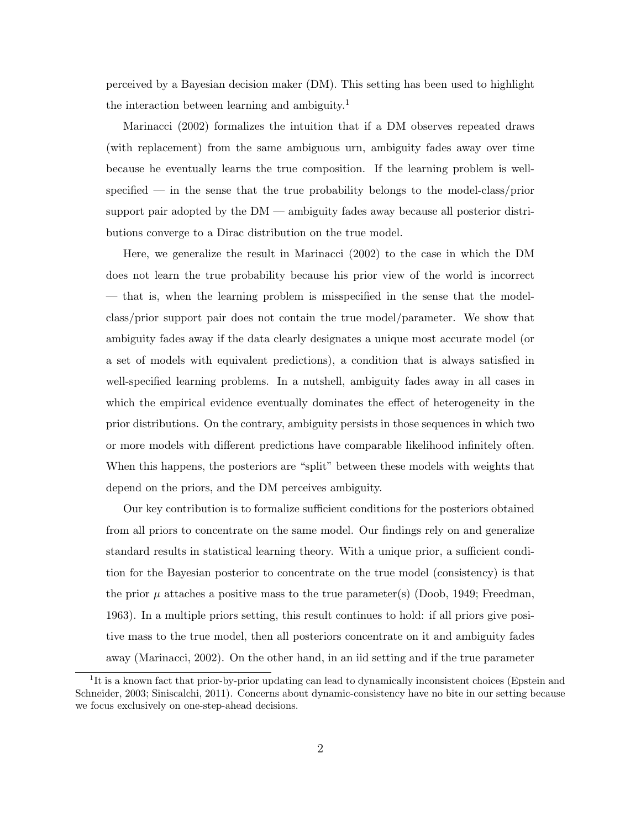perceived by a Bayesian decision maker (DM). This setting has been used to highlight the interaction between learning and ambiguity.<sup>1</sup>

Marinacci (2002) formalizes the intuition that if a DM observes repeated draws (with replacement) from the same ambiguous urn, ambiguity fades away over time because he eventually learns the true composition. If the learning problem is wellspecified — in the sense that the true probability belongs to the model-class/prior support pair adopted by the DM — ambiguity fades away because all posterior distributions converge to a Dirac distribution on the true model.

Here, we generalize the result in Marinacci (2002) to the case in which the DM does not learn the true probability because his prior view of the world is incorrect — that is, when the learning problem is misspecified in the sense that the modelclass/prior support pair does not contain the true model/parameter. We show that ambiguity fades away if the data clearly designates a unique most accurate model (or a set of models with equivalent predictions), a condition that is always satisfied in well-specified learning problems. In a nutshell, ambiguity fades away in all cases in which the empirical evidence eventually dominates the effect of heterogeneity in the prior distributions. On the contrary, ambiguity persists in those sequences in which two or more models with different predictions have comparable likelihood infinitely often. When this happens, the posteriors are "split" between these models with weights that depend on the priors, and the DM perceives ambiguity.

Our key contribution is to formalize sufficient conditions for the posteriors obtained from all priors to concentrate on the same model. Our findings rely on and generalize standard results in statistical learning theory. With a unique prior, a sufficient condition for the Bayesian posterior to concentrate on the true model (consistency) is that the prior  $\mu$  attaches a positive mass to the true parameter(s) (Doob, 1949; Freedman, 1963). In a multiple priors setting, this result continues to hold: if all priors give positive mass to the true model, then all posteriors concentrate on it and ambiguity fades away (Marinacci, 2002). On the other hand, in an iid setting and if the true parameter

<sup>&</sup>lt;sup>1</sup>It is a known fact that prior-by-prior updating can lead to dynamically inconsistent choices (Epstein and Schneider, 2003; Siniscalchi, 2011). Concerns about dynamic-consistency have no bite in our setting because we focus exclusively on one-step-ahead decisions.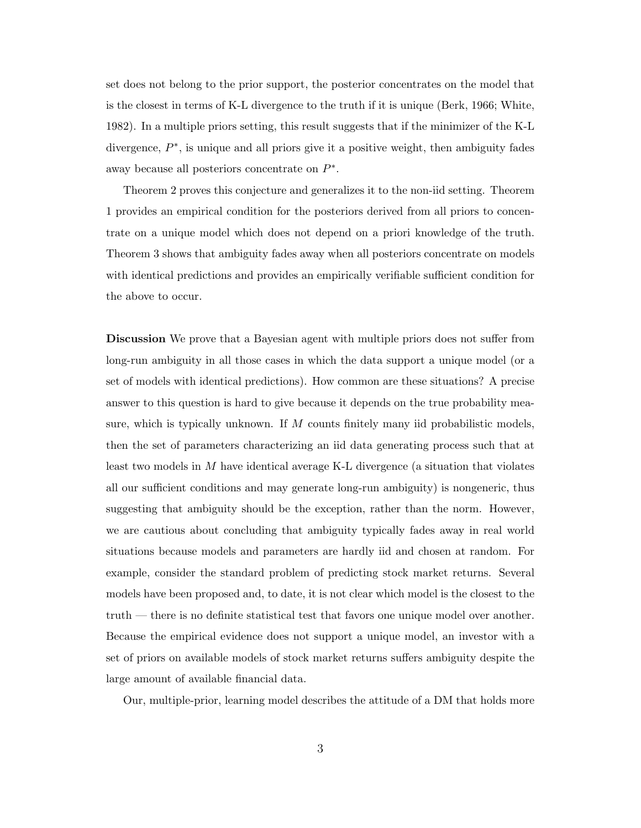set does not belong to the prior support, the posterior concentrates on the model that is the closest in terms of K-L divergence to the truth if it is unique (Berk, 1966; White, 1982). In a multiple priors setting, this result suggests that if the minimizer of the K-L divergence,  $P^*$ , is unique and all priors give it a positive weight, then ambiguity fades away because all posteriors concentrate on  $P^*$ .

Theorem 2 proves this conjecture and generalizes it to the non-iid setting. Theorem 1 provides an empirical condition for the posteriors derived from all priors to concentrate on a unique model which does not depend on a priori knowledge of the truth. Theorem 3 shows that ambiguity fades away when all posteriors concentrate on models with identical predictions and provides an empirically verifiable sufficient condition for the above to occur.

Discussion We prove that a Bayesian agent with multiple priors does not suffer from long-run ambiguity in all those cases in which the data support a unique model (or a set of models with identical predictions). How common are these situations? A precise answer to this question is hard to give because it depends on the true probability measure, which is typically unknown. If M counts finitely many iid probabilistic models, then the set of parameters characterizing an iid data generating process such that at least two models in M have identical average K-L divergence (a situation that violates all our sufficient conditions and may generate long-run ambiguity) is nongeneric, thus suggesting that ambiguity should be the exception, rather than the norm. However, we are cautious about concluding that ambiguity typically fades away in real world situations because models and parameters are hardly iid and chosen at random. For example, consider the standard problem of predicting stock market returns. Several models have been proposed and, to date, it is not clear which model is the closest to the truth — there is no definite statistical test that favors one unique model over another. Because the empirical evidence does not support a unique model, an investor with a set of priors on available models of stock market returns suffers ambiguity despite the large amount of available financial data.

Our, multiple-prior, learning model describes the attitude of a DM that holds more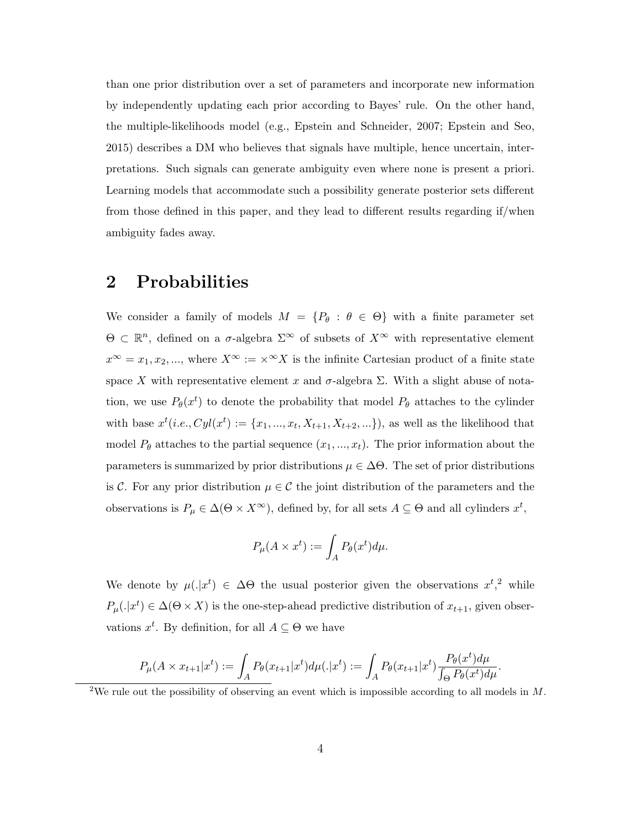than one prior distribution over a set of parameters and incorporate new information by independently updating each prior according to Bayes' rule. On the other hand, the multiple-likelihoods model (e.g., Epstein and Schneider, 2007; Epstein and Seo, 2015) describes a DM who believes that signals have multiple, hence uncertain, interpretations. Such signals can generate ambiguity even where none is present a priori. Learning models that accommodate such a possibility generate posterior sets different from those defined in this paper, and they lead to different results regarding if/when ambiguity fades away.

## 2 Probabilities

We consider a family of models  $M = \{P_{\theta} : \theta \in \Theta\}$  with a finite parameter set  $\Theta \subset \mathbb{R}^n$ , defined on a  $\sigma$ -algebra  $\Sigma^\infty$  of subsets of  $X^\infty$  with representative element  $x^{\infty} = x_1, x_2, ...,$  where  $X^{\infty} := \times^{\infty} X$  is the infinite Cartesian product of a finite state space X with representative element x and  $\sigma$ -algebra  $\Sigma$ . With a slight abuse of notation, we use  $P_{\theta}(x^t)$  to denote the probability that model  $P_{\theta}$  attaches to the cylinder with base  $x^{t}(i.e., Cyl(x^{t}) := \{x_{1}, ..., x_{t}, X_{t+1}, X_{t+2}, ...\})$ , as well as the likelihood that model  $P_{\theta}$  attaches to the partial sequence  $(x_1, ..., x_t)$ . The prior information about the parameters is summarized by prior distributions  $\mu \in \Delta\Theta$ . The set of prior distributions is C. For any prior distribution  $\mu \in \mathcal{C}$  the joint distribution of the parameters and the observations is  $P_{\mu} \in \Delta(\Theta \times X^{\infty})$ , defined by, for all sets  $A \subseteq \Theta$  and all cylinders  $x^{t}$ ,

$$
P_{\mu}(A \times x^{t}) := \int_{A} P_{\theta}(x^{t}) d\mu.
$$

We denote by  $\mu(.|x^t) \in \Delta\Theta$  the usual posterior given the observations  $x^t,^2$  while  $P_{\mu}(.|x^{t}) \in \Delta(\Theta \times X)$  is the one-step-ahead predictive distribution of  $x_{t+1}$ , given observations  $x^t$ . By definition, for all  $A \subseteq \Theta$  we have

$$
P_{\mu}(A \times x_{t+1}|x^{t}) := \int_{A} P_{\theta}(x_{t+1}|x^{t}) d\mu(.|x^{t}) := \int_{A} P_{\theta}(x_{t+1}|x^{t}) \frac{P_{\theta}(x^{t}) d\mu}{\int_{\Theta} P_{\theta}(x^{t}) d\mu}.
$$

<sup>2</sup>We rule out the possibility of observing an event which is impossible according to all models in  $M$ .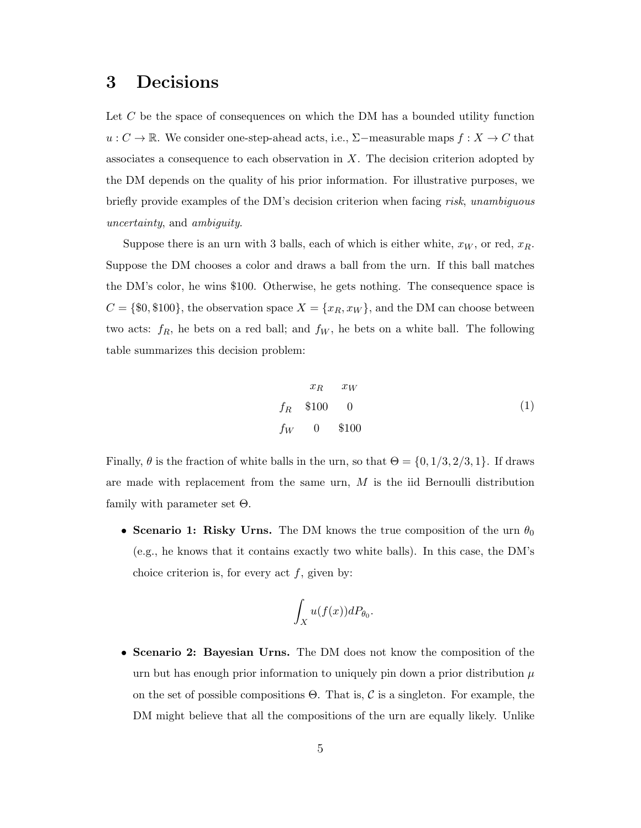## 3 Decisions

Let C be the space of consequences on which the DM has a bounded utility function u :  $C \to \mathbb{R}$ . We consider one-step-ahead acts, i.e., Σ−measurable maps  $f : X \to C$  that associates a consequence to each observation in  $X$ . The decision criterion adopted by the DM depends on the quality of his prior information. For illustrative purposes, we briefly provide examples of the DM's decision criterion when facing risk, unambiguous uncertainty, and ambiguity.

Suppose there is an urn with 3 balls, each of which is either white,  $x_W$ , or red,  $x_R$ . Suppose the DM chooses a color and draws a ball from the urn. If this ball matches the DM's color, he wins \$100. Otherwise, he gets nothing. The consequence space is  $C = \{\$0, \$100\}$ , the observation space  $X = \{x_R, x_W\}$ , and the DM can choose between two acts:  $f_R$ , he bets on a red ball; and  $f_W$ , he bets on a white ball. The following table summarizes this decision problem:

$$
x_R \quad x_W
$$
  

$$
f_R \quad $100 \quad 0
$$
  

$$
f_W \quad 0 \quad $100
$$
 (1)

Finally,  $\theta$  is the fraction of white balls in the urn, so that  $\Theta = \{0, 1/3, 2/3, 1\}$ . If draws are made with replacement from the same urn,  $M$  is the iid Bernoulli distribution family with parameter set Θ.

• Scenario 1: Risky Urns. The DM knows the true composition of the urn  $\theta_0$ (e.g., he knows that it contains exactly two white balls). In this case, the DM's choice criterion is, for every act  $f$ , given by:

$$
\int_X u(f(x))dP_{\theta_0}
$$

.

• Scenario 2: Bayesian Urns. The DM does not know the composition of the urn but has enough prior information to uniquely pin down a prior distribution  $\mu$ on the set of possible compositions  $\Theta$ . That is, C is a singleton. For example, the DM might believe that all the compositions of the urn are equally likely. Unlike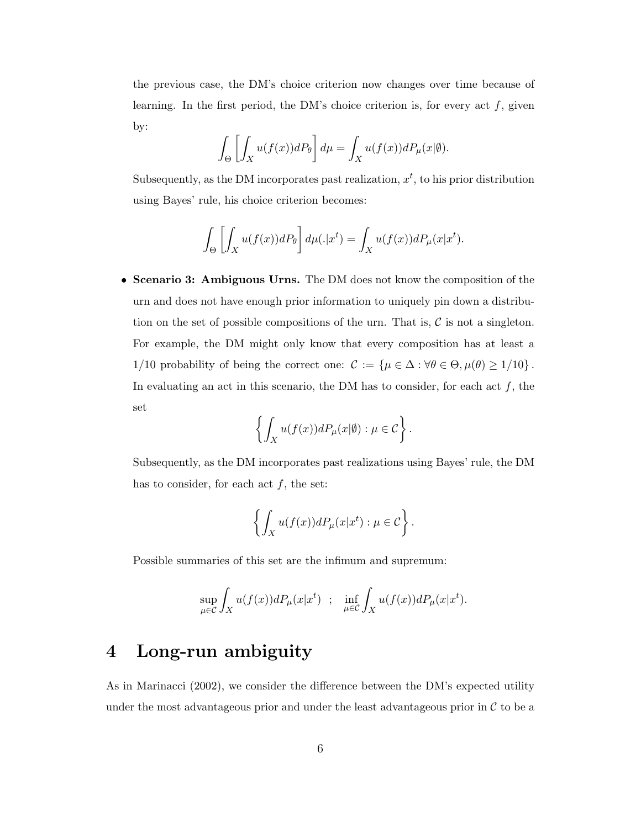the previous case, the DM's choice criterion now changes over time because of learning. In the first period, the DM's choice criterion is, for every act  $f$ , given by:

$$
\int_{\Theta} \left[ \int_X u(f(x))dP_{\theta} \right] d\mu = \int_X u(f(x))dP_{\mu}(x|\emptyset).
$$

Subsequently, as the DM incorporates past realization,  $x<sup>t</sup>$ , to his prior distribution using Bayes' rule, his choice criterion becomes:

$$
\int_{\Theta} \left[ \int_X u(f(x))dP_{\theta} \right] d\mu(\cdot|x^t) = \int_X u(f(x))dP_{\mu}(x|x^t).
$$

• Scenario 3: Ambiguous Urns. The DM does not know the composition of the urn and does not have enough prior information to uniquely pin down a distribution on the set of possible compositions of the urn. That is,  $\mathcal C$  is not a singleton. For example, the DM might only know that every composition has at least a 1/10 probability of being the correct one:  $\mathcal{C} := \{ \mu \in \Delta : \forall \theta \in \Theta, \mu(\theta) \geq 1/10 \}$ . In evaluating an act in this scenario, the DM has to consider, for each act  $f$ , the set

$$
\left\{ \int_X u(f(x))dP_\mu(x|\emptyset) : \mu \in \mathcal{C} \right\}.
$$

Subsequently, as the DM incorporates past realizations using Bayes' rule, the DM has to consider, for each act  $f$ , the set:

$$
\left\{\int_X u(f(x))dP_\mu(x|x^t): \mu \in \mathcal{C}\right\}.
$$

Possible summaries of this set are the infimum and supremum:

$$
\sup_{\mu \in \mathcal{C}} \int_X u(f(x))dP_\mu(x|x^t) \; ; \; \; \inf_{\mu \in \mathcal{C}} \int_X u(f(x))dP_\mu(x|x^t).
$$

## 4 Long-run ambiguity

As in Marinacci (2002), we consider the difference between the DM's expected utility under the most advantageous prior and under the least advantageous prior in  $\mathcal C$  to be a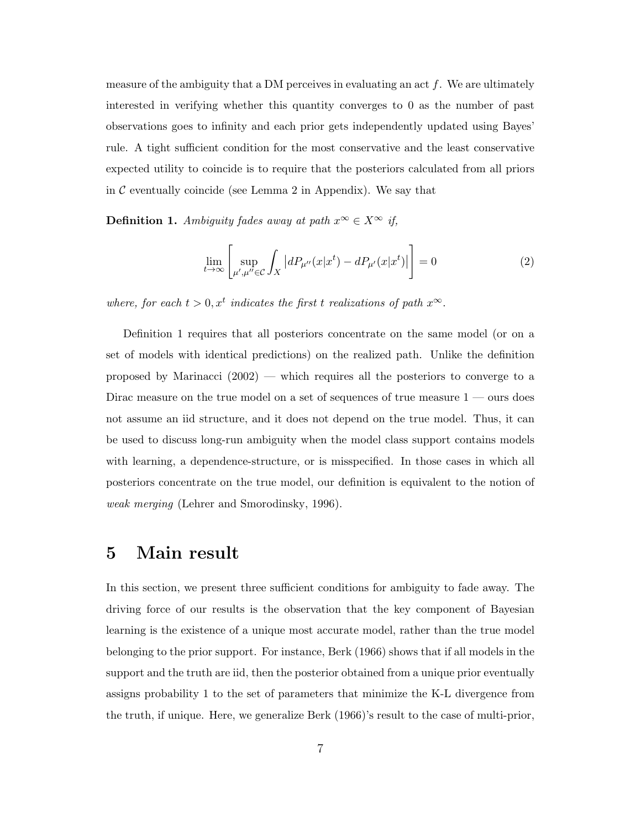measure of the ambiguity that a DM perceives in evaluating an act  $f$ . We are ultimately interested in verifying whether this quantity converges to 0 as the number of past observations goes to infinity and each prior gets independently updated using Bayes' rule. A tight sufficient condition for the most conservative and the least conservative expected utility to coincide is to require that the posteriors calculated from all priors in  $\mathcal C$  eventually coincide (see Lemma 2 in Appendix). We say that

Definition 1. Ambiguity fades away at path  $x^{\infty} \in X^{\infty}$  if,

$$
\lim_{t \to \infty} \left[ \sup_{\mu', \mu'' \in \mathcal{C}} \int_X \left| dP_{\mu''}(x|x^t) - dP_{\mu'}(x|x^t) \right| \right] = 0 \tag{2}
$$

where, for each  $t > 0, x^t$  indicates the first t realizations of path  $x^{\infty}$ .

Definition 1 requires that all posteriors concentrate on the same model (or on a set of models with identical predictions) on the realized path. Unlike the definition proposed by Marinacci (2002) — which requires all the posteriors to converge to a Dirac measure on the true model on a set of sequences of true measure  $1$  — ours does not assume an iid structure, and it does not depend on the true model. Thus, it can be used to discuss long-run ambiguity when the model class support contains models with learning, a dependence-structure, or is misspecified. In those cases in which all posteriors concentrate on the true model, our definition is equivalent to the notion of weak merging (Lehrer and Smorodinsky, 1996).

### 5 Main result

In this section, we present three sufficient conditions for ambiguity to fade away. The driving force of our results is the observation that the key component of Bayesian learning is the existence of a unique most accurate model, rather than the true model belonging to the prior support. For instance, Berk (1966) shows that if all models in the support and the truth are iid, then the posterior obtained from a unique prior eventually assigns probability 1 to the set of parameters that minimize the K-L divergence from the truth, if unique. Here, we generalize Berk (1966)'s result to the case of multi-prior,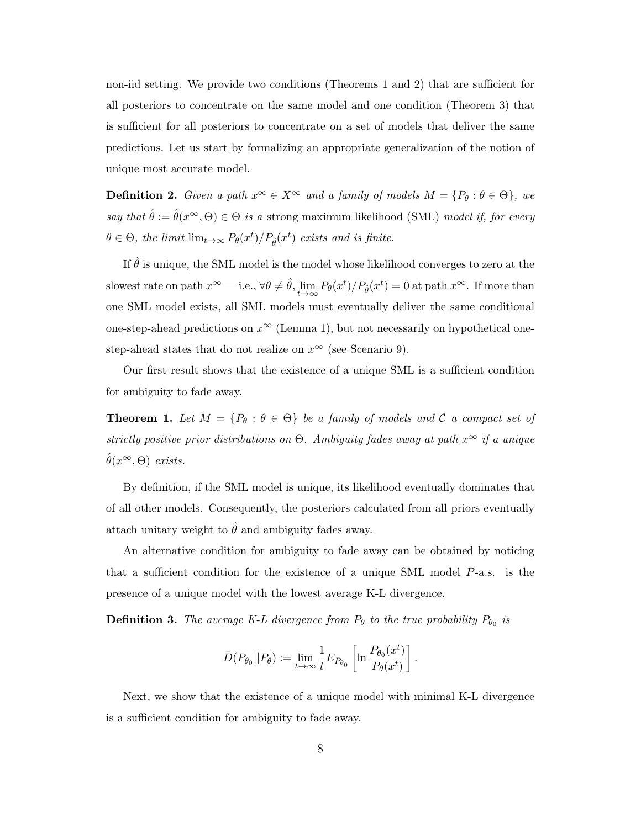non-iid setting. We provide two conditions (Theorems 1 and 2) that are sufficient for all posteriors to concentrate on the same model and one condition (Theorem 3) that is sufficient for all posteriors to concentrate on a set of models that deliver the same predictions. Let us start by formalizing an appropriate generalization of the notion of unique most accurate model.

**Definition 2.** Given a path  $x^{\infty} \in X^{\infty}$  and a family of models  $M = \{P_{\theta} : \theta \in \Theta\}$ , we say that  $\hat{\theta} := \hat{\theta}(x^{\infty}, \Theta) \in \Theta$  is a strong maximum likelihood (SML) model if, for every  $\theta \in \Theta$ , the limit  $\lim_{t \to \infty} P_{\theta}(x^t) / P_{\hat{\theta}}(x^t)$  exists and is finite.

If  $\hat{\theta}$  is unique, the SML model is the model whose likelihood converges to zero at the slowest rate on path  $x^{\infty}$  — i.e.,  $\forall \theta \neq \hat{\theta}$ ,  $\lim_{t \to \infty} P_{\theta}(x^t) / P_{\hat{\theta}}(x^t) = 0$  at path  $x^{\infty}$ . If more than one SML model exists, all SML models must eventually deliver the same conditional one-step-ahead predictions on  $x^{\infty}$  (Lemma 1), but not necessarily on hypothetical onestep-ahead states that do not realize on  $x^{\infty}$  (see Scenario 9).

Our first result shows that the existence of a unique SML is a sufficient condition for ambiguity to fade away.

**Theorem 1.** Let  $M = \{P_{\theta} : \theta \in \Theta\}$  be a family of models and C a compact set of strictly positive prior distributions on  $\Theta$ . Ambiguity fades away at path  $x^{\infty}$  if a unique  $\hat{\theta}(x^{\infty},\Theta)$  exists.

By definition, if the SML model is unique, its likelihood eventually dominates that of all other models. Consequently, the posteriors calculated from all priors eventually attach unitary weight to  $\hat{\theta}$  and ambiguity fades away.

An alternative condition for ambiguity to fade away can be obtained by noticing that a sufficient condition for the existence of a unique SML model P-a.s. is the presence of a unique model with the lowest average K-L divergence.

**Definition 3.** The average K-L divergence from  $P_{\theta}$  to the true probability  $P_{\theta_0}$  is

$$
\bar{D}(P_{\theta_0}||P_{\theta}) := \lim_{t \to \infty} \frac{1}{t} E_{P_{\theta_0}} \left[ \ln \frac{P_{\theta_0}(x^t)}{P_{\theta}(x^t)} \right].
$$

Next, we show that the existence of a unique model with minimal K-L divergence is a sufficient condition for ambiguity to fade away.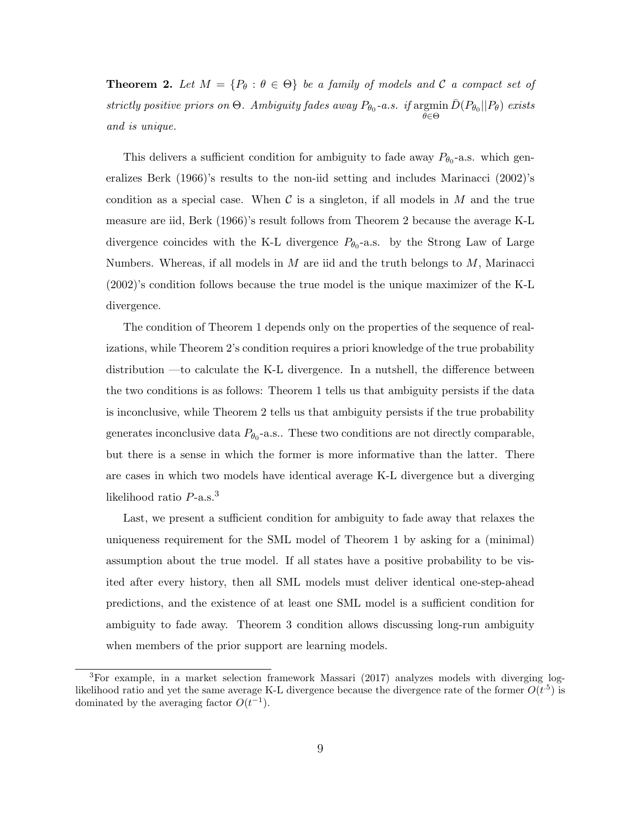**Theorem 2.** Let  $M = \{P_{\theta} : \theta \in \Theta\}$  be a family of models and C a compact set of strictly positive priors on  $\Theta$ . Ambiguity fades away  $P_{\theta_0}$ -a.s. if argmin egmin  $\bar{D}(P_{\theta_0}||P_{\theta})$  exists and is unique.

This delivers a sufficient condition for ambiguity to fade away  $P_{\theta_0}$ -a.s. which generalizes Berk (1966)'s results to the non-iid setting and includes Marinacci (2002)'s condition as a special case. When  $\mathcal C$  is a singleton, if all models in M and the true measure are iid, Berk (1966)'s result follows from Theorem 2 because the average K-L divergence coincides with the K-L divergence  $P_{\theta_0}$ -a.s. by the Strong Law of Large Numbers. Whereas, if all models in  $M$  are iid and the truth belongs to  $M$ , Marinacci (2002)'s condition follows because the true model is the unique maximizer of the K-L divergence.

The condition of Theorem 1 depends only on the properties of the sequence of realizations, while Theorem 2's condition requires a priori knowledge of the true probability distribution —to calculate the K-L divergence. In a nutshell, the difference between the two conditions is as follows: Theorem 1 tells us that ambiguity persists if the data is inconclusive, while Theorem 2 tells us that ambiguity persists if the true probability generates inconclusive data  $P_{\theta_0}$ -a.s.. These two conditions are not directly comparable, but there is a sense in which the former is more informative than the latter. There are cases in which two models have identical average K-L divergence but a diverging likelihood ratio  $P$ -a.s.<sup>3</sup>

Last, we present a sufficient condition for ambiguity to fade away that relaxes the uniqueness requirement for the SML model of Theorem 1 by asking for a (minimal) assumption about the true model. If all states have a positive probability to be visited after every history, then all SML models must deliver identical one-step-ahead predictions, and the existence of at least one SML model is a sufficient condition for ambiguity to fade away. Theorem 3 condition allows discussing long-run ambiguity when members of the prior support are learning models.

<sup>3</sup>For example, in a market selection framework Massari (2017) analyzes models with diverging loglikelihood ratio and yet the same average K-L divergence because the divergence rate of the former  $O(t^{.5})$  is dominated by the averaging factor  $O(t^{-1})$ .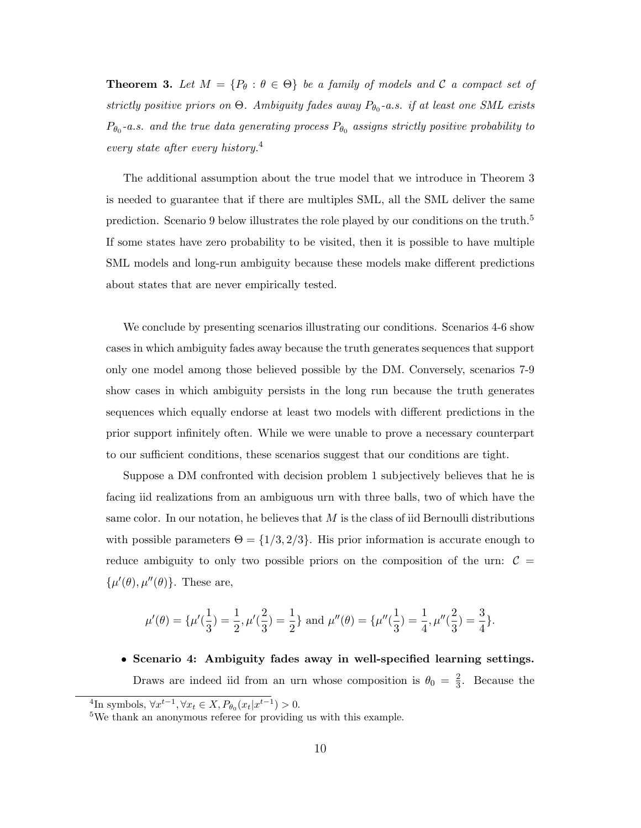**Theorem 3.** Let  $M = \{P_{\theta} : \theta \in \Theta\}$  be a family of models and C a compact set of strictly positive priors on  $\Theta$ . Ambiguity fades away  $P_{\theta_0}$ -a.s. if at least one SML exists  $P_{\theta_0}$ -a.s. and the true data generating process  $P_{\theta_0}$  assigns strictly positive probability to every state after every history.<sup>4</sup>

The additional assumption about the true model that we introduce in Theorem 3 is needed to guarantee that if there are multiples SML, all the SML deliver the same prediction. Scenario 9 below illustrates the role played by our conditions on the truth. $5$ If some states have zero probability to be visited, then it is possible to have multiple SML models and long-run ambiguity because these models make different predictions about states that are never empirically tested.

We conclude by presenting scenarios illustrating our conditions. Scenarios 4-6 show cases in which ambiguity fades away because the truth generates sequences that support only one model among those believed possible by the DM. Conversely, scenarios 7-9 show cases in which ambiguity persists in the long run because the truth generates sequences which equally endorse at least two models with different predictions in the prior support infinitely often. While we were unable to prove a necessary counterpart to our sufficient conditions, these scenarios suggest that our conditions are tight.

Suppose a DM confronted with decision problem 1 subjectively believes that he is facing iid realizations from an ambiguous urn with three balls, two of which have the same color. In our notation, he believes that  $M$  is the class of iid Bernoulli distributions with possible parameters  $\Theta = \{1/3, 2/3\}$ . His prior information is accurate enough to reduce ambiguity to only two possible priors on the composition of the urn:  $C =$  $\{\mu'(\theta), \mu''(\theta)\}.$  These are,

$$
\mu'(\theta) = {\mu'(\frac{1}{3}) = \frac{1}{2}, \mu'(\frac{2}{3}) = \frac{1}{2}} \text{ and } \mu''(\theta) = {\mu''(\frac{1}{3}) = \frac{1}{4}, \mu''(\frac{2}{3}) = \frac{3}{4}}.
$$

• Scenario 4: Ambiguity fades away in well-specified learning settings. Draws are indeed iid from an urn whose composition is  $\theta_0 = \frac{2}{3}$  $\frac{2}{3}$ . Because the

<sup>&</sup>lt;sup>4</sup>In symbols,  $\forall x^{t-1}, \forall x_t \in X, P_{\theta_0}(x_t|x^{t-1}) > 0.$ 

<sup>5</sup>We thank an anonymous referee for providing us with this example.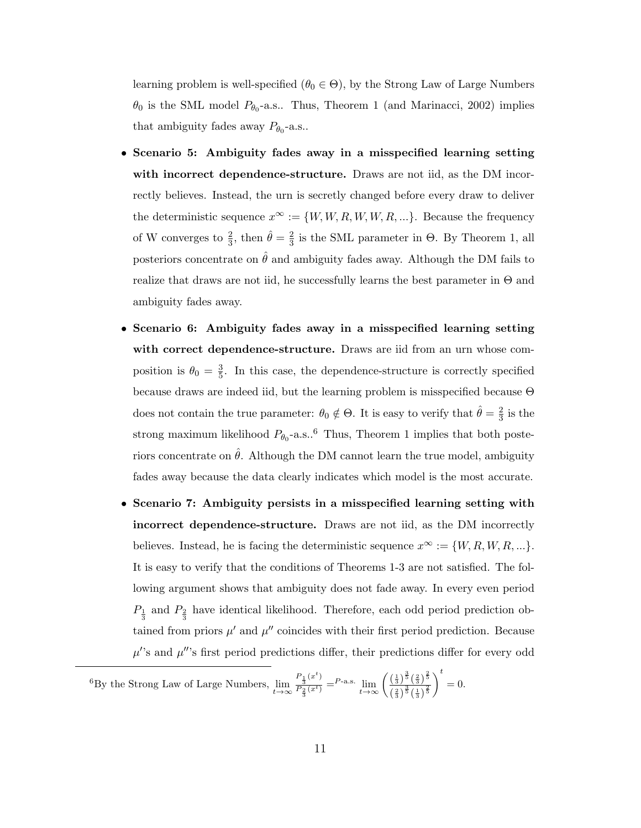learning problem is well-specified ( $\theta_0 \in \Theta$ ), by the Strong Law of Large Numbers  $\theta_0$  is the SML model  $P_{\theta_0}$ -a.s.. Thus, Theorem 1 (and Marinacci, 2002) implies that ambiguity fades away  $P_{\theta_0}$ -a.s..

- Scenario 5: Ambiguity fades away in a misspecified learning setting with incorrect dependence-structure. Draws are not iid, as the DM incorrectly believes. Instead, the urn is secretly changed before every draw to deliver the deterministic sequence  $x^{\infty} := \{W, W, R, W, W, R, ...\}$ . Because the frequency of W converges to  $\frac{2}{3}$ , then  $\hat{\theta} = \frac{2}{3}$  $\frac{2}{3}$  is the SML parameter in  $\Theta$ . By Theorem 1, all posteriors concentrate on  $\hat{\theta}$  and ambiguity fades away. Although the DM fails to realize that draws are not iid, he successfully learns the best parameter in  $\Theta$  and ambiguity fades away.
- Scenario 6: Ambiguity fades away in a misspecified learning setting with correct dependence-structure. Draws are iid from an urn whose composition is  $\theta_0 = \frac{3}{5}$  $\frac{3}{5}$ . In this case, the dependence-structure is correctly specified because draws are indeed iid, but the learning problem is misspecified because Θ does not contain the true parameter:  $\theta_0 \notin \Theta$ . It is easy to verify that  $\hat{\theta} = \frac{2}{3}$  $rac{2}{3}$  is the strong maximum likelihood  $P_{\theta_0}$ -a.s..<sup>6</sup> Thus, Theorem 1 implies that both posteriors concentrate on  $\ddot{\theta}$ . Although the DM cannot learn the true model, ambiguity fades away because the data clearly indicates which model is the most accurate.
- Scenario 7: Ambiguity persists in a misspecified learning setting with incorrect dependence-structure. Draws are not iid, as the DM incorrectly believes. Instead, he is facing the deterministic sequence  $x^{\infty} := \{W, R, W, R, ...\}$ . It is easy to verify that the conditions of Theorems 1-3 are not satisfied. The following argument shows that ambiguity does not fade away. In every even period  $P_{\frac{1}{3}}$  and  $P_{\frac{2}{3}}$  have identical likelihood. Therefore, each odd period prediction obtained from priors  $\mu'$  and  $\mu''$  coincides with their first period prediction. Because  $\mu$ 's and  $\mu$ ''s first period predictions differ, their predictions differ for every odd

<sup>6</sup>By the Strong Law of Large Numbers,  $\lim_{t \to \infty} \frac{P_{\frac{1}{3}}(x^t)}{P_{\frac{2}{3}}(x^t)}$  $\frac{P_1(x^t)}{P_2(x^t)} = P$ -a.s.  $\lim_{t \to \infty} \left( \frac{\left(\frac{1}{3}\right)^{\frac{3}{5}} \left(\frac{2}{3}\right)^{\frac{2}{5}}}{\left(\frac{2}{3}\right)^{\frac{3}{5}} \left(\frac{1}{3}\right)^{\frac{2}{5}}} \right)$  $\frac{2}{3}$  $\frac{3}{5}$  $\left(\frac{1}{3}\right)$  $\frac{2}{5}$  $\Big)^t = 0.$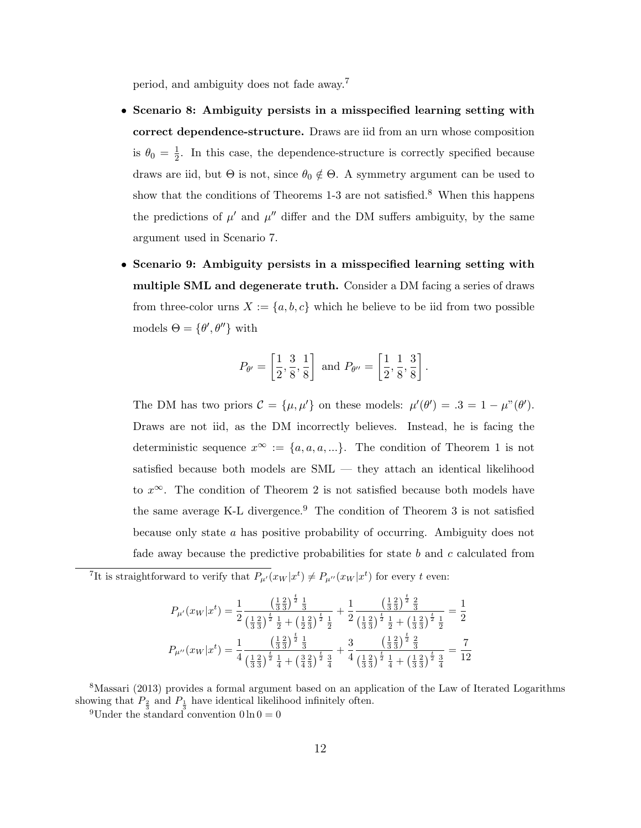period, and ambiguity does not fade away.<sup>7</sup>

- Scenario 8: Ambiguity persists in a misspecified learning setting with correct dependence-structure. Draws are iid from an urn whose composition is  $\theta_0 = \frac{1}{2}$  $\frac{1}{2}$ . In this case, the dependence-structure is correctly specified because draws are iid, but  $\Theta$  is not, since  $\theta_0 \notin \Theta$ . A symmetry argument can be used to show that the conditions of Theorems  $1-3$  are not satisfied.<sup>8</sup> When this happens the predictions of  $\mu'$  and  $\mu''$  differ and the DM suffers ambiguity, by the same argument used in Scenario 7.
- Scenario 9: Ambiguity persists in a misspecified learning setting with multiple SML and degenerate truth. Consider a DM facing a series of draws from three-color urns  $X := \{a, b, c\}$  which he believe to be iid from two possible models  $\Theta = \{\theta', \theta''\}$  with

$$
P_{\theta'} = \left[\frac{1}{2}, \frac{3}{8}, \frac{1}{8}\right]
$$
 and  $P_{\theta''} = \left[\frac{1}{2}, \frac{1}{8}, \frac{3}{8}\right]$ .

The DM has two priors  $\mathcal{C} = {\mu, \mu' }$  on these models:  $\mu'(\theta') = .3 = 1 - \mu^{\nu}(\theta')$ . Draws are not iid, as the DM incorrectly believes. Instead, he is facing the deterministic sequence  $x^{\infty} := \{a, a, a, ...\}$ . The condition of Theorem 1 is not satisfied because both models are SML — they attach an identical likelihood to  $x^{\infty}$ . The condition of Theorem 2 is not satisfied because both models have the same average K-L divergence.<sup>9</sup> The condition of Theorem 3 is not satisfied because only state a has positive probability of occurring. Ambiguity does not fade away because the predictive probabilities for state b and c calculated from

<sup>7</sup>It is straightforward to verify that  $P_{\mu}(x_W|x^t) \neq P_{\mu}(x_W|x^t)$  for every t even:

$$
P_{\mu'}(x_W|x^t) = \frac{1}{2} \frac{\left(\frac{1}{3}\frac{2}{3}\right)^{\frac{t}{2}} \frac{1}{3}}{\left(\frac{1}{3}\frac{2}{3}\right)^{\frac{t}{2}} \frac{1}{2} + \left(\frac{1}{2}\frac{2}{3}\right)^{\frac{t}{2}} \frac{1}{2}} + \frac{1}{2} \frac{\left(\frac{1}{3}\frac{2}{3}\right)^{\frac{t}{2}} \frac{2}{3}}{\left(\frac{1}{3}\frac{2}{3}\right)^{\frac{t}{2}} \frac{1}{2} + \left(\frac{1}{3}\frac{2}{3}\right)^{\frac{t}{2}} \frac{1}{2}} = \frac{1}{2}
$$
  

$$
P_{\mu''}(x_W|x^t) = \frac{1}{4} \frac{\left(\frac{1}{3}\frac{2}{3}\right)^{\frac{t}{2}} \frac{1}{3}}{\left(\frac{1}{3}\frac{2}{3}\right)^{\frac{t}{2}} \frac{1}{3} + \left(\frac{3}{4}\frac{2}{3}\right)^{\frac{t}{2}} \frac{3}{4}} + \frac{3}{4} \frac{\left(\frac{1}{3}\frac{2}{3}\right)^{\frac{t}{2}} \frac{3}{3}}{\left(\frac{1}{3}\frac{2}{3}\right)^{\frac{t}{2}} \frac{1}{4} + \left(\frac{1}{3}\frac{2}{3}\right)^{\frac{t}{2}} \frac{3}{4}} = \frac{7}{12}
$$

<sup>8</sup>Massari (2013) provides a formal argument based on an application of the Law of Iterated Logarithms showing that  $P_{\frac{3}{3}}$  and  $P_{\frac{1}{3}}$  have identical likelihood infinitely often.

<sup>9</sup>Under the standard convention  $0 \ln 0 = 0$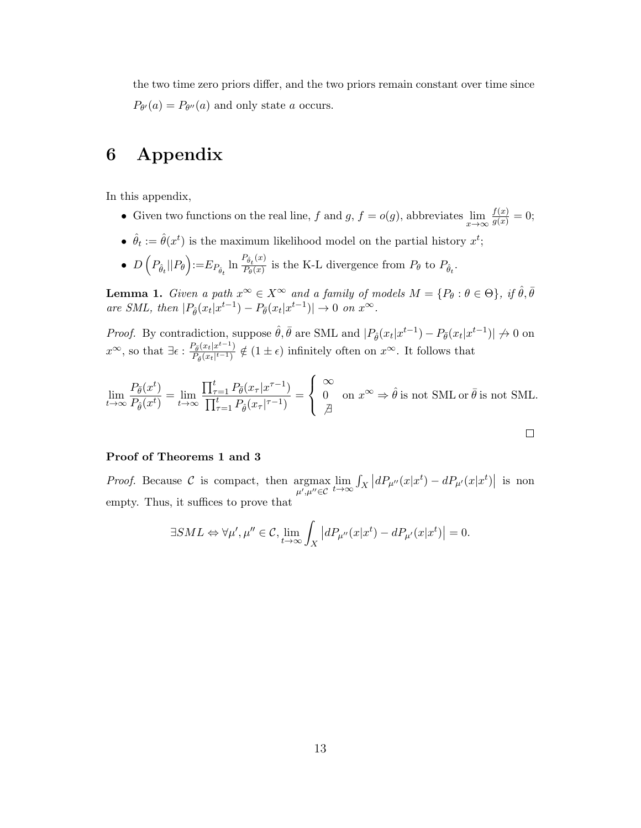the two time zero priors differ, and the two priors remain constant over time since  $P_{\theta}(a) = P_{\theta}(a)$  and only state a occurs.

## 6 Appendix

In this appendix,

- Given two functions on the real line, f and g,  $f = o(g)$ , abbreviates  $\lim_{x \to \infty} \frac{f(x)}{g(x)} = 0$ ;
- $\hat{\theta}_t := \hat{\theta}(x^t)$  is the maximum likelihood model on the partial history  $x^t$ ;
- $D\left(P_{\hat{\theta}_t}||P_{\theta}\right) := E_{P_{\hat{\theta}_t}} \ln \frac{P_{\hat{\theta}_t}(x)}{P_{\theta}(x)}$  $\frac{\partial_t V^{(0)}}{\partial P_\theta(x)}$  is the K-L divergence from  $P_\theta$  to  $P_{\hat{\theta}_t}$ .

**Lemma 1.** Given a path  $x^{\infty} \in X^{\infty}$  and a family of models  $M = \{P_{\theta} : \theta \in \Theta\}$ , if  $\hat{\theta}, \bar{\theta}$ are SML, then  $|P_{\hat{\theta}}(x_t|x^{t-1}) - P_{\overline{\theta}}(x_t|x^{t-1})| \to 0$  on  $x^{\infty}$ .

*Proof.* By contradiction, suppose  $\hat{\theta}, \bar{\theta}$  are SML and  $|P_{\hat{\theta}}(x_t|x^{t-1}) - P_{\bar{\theta}}(x_t|x^{t-1})| \nrightarrow 0$  on  $x^{\infty}$ , so that  $\exists \epsilon : \frac{P_{\tilde{\theta}}(x_t|x^{t-1})}{P_{\theta}(x_t|x^{t-1})}$  $\frac{P_{\tilde{\theta}}(x_t|x^{t-1})}{P_{\hat{\theta}}(x_t|^{t-1})} \notin (1 \pm \epsilon)$  infinitely often on  $x^{\infty}$ . It follows that

$$
\lim_{t \to \infty} \frac{P_{\bar{\theta}}(x^t)}{P_{\hat{\theta}}(x^t)} = \lim_{t \to \infty} \frac{\prod_{\tau=1}^t P_{\bar{\theta}}(x_\tau | x^{\tau-1})}{\prod_{\tau=1}^t P_{\hat{\theta}}(x_\tau |^{\tau-1})} = \begin{cases} \infty \\ 0 & \text{on } x^\infty \Rightarrow \hat{\theta} \text{ is not SML or } \bar{\theta} \text{ is not SML.} \\ \n\frac{\beta}{\beta} & \text{on } x^\infty \Rightarrow \hat{\theta} \text{ is not SML or } \bar{\theta} \text{ is not SML.} \n\end{cases}
$$

 $\Box$ 

#### Proof of Theorems 1 and 3

*Proof.* Because  $\mathcal{C}$  is compact, then argmax  $\mu', \mu'' ∈ C$  $\lim_{t \to \infty} \int_X \left| dP_{\mu''}(x|x^t) - dP_{\mu'}(x|x^t) \right|$  is non empty. Thus, it suffices to prove that

$$
\exists SML \Leftrightarrow \forall \mu', \mu'' \in \mathcal{C}, \lim_{t \to \infty} \int_X \left| dP_{\mu''}(x|x^t) - dP_{\mu'}(x|x^t) \right| = 0.
$$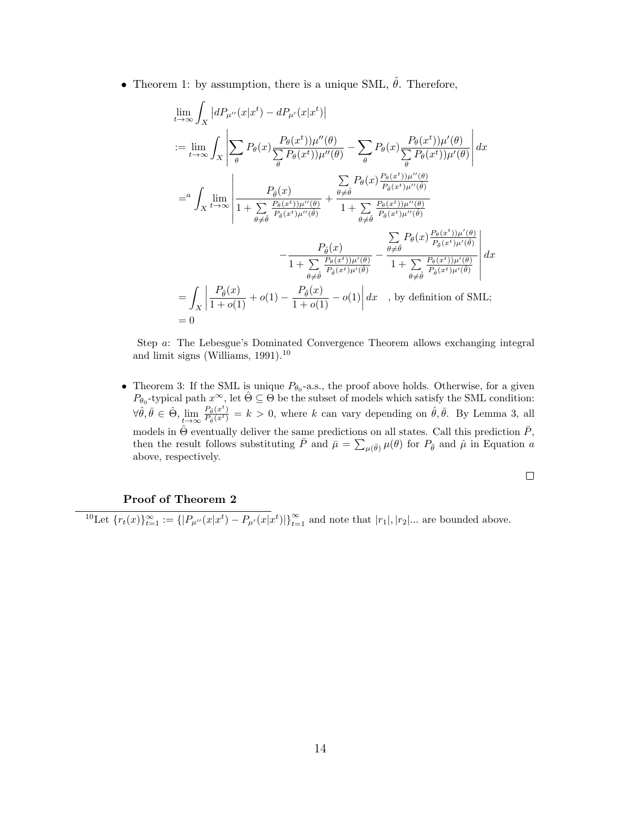• Theorem 1: by assumption, there is a unique SML,  $\hat{\theta}$ . Therefore,

$$
\lim_{t \to \infty} \int_X |dP_{\mu''}(x|x^t) - dP_{\mu'}(x|x^t)|
$$
\n
$$
:= \lim_{t \to \infty} \int_X \left| \sum_{\theta} P_{\theta}(x) \frac{P_{\theta}(x^t) \mu''(\theta)}{\sum_{\theta} P_{\theta}(x^t) \mu''(\theta)} - \sum_{\theta} P_{\theta}(x) \frac{P_{\theta}(x^t) \mu'(\theta)}{\sum_{\theta} P_{\theta}(x^t) \mu'(\theta)} \right| dx
$$
\n
$$
= a \int_X \lim_{t \to \infty} \left| \frac{P_{\hat{\theta}}(x)}{1 + \sum_{\theta \neq \hat{\theta}} \frac{P_{\theta}(x)}{P_{\hat{\theta}}(x^t) \mu''(\hat{\theta})}} + \frac{\sum_{\theta \neq \hat{\theta}} P_{\theta}(x) \frac{P_{\theta}(x^t) \mu''(\theta)}{P_{\hat{\theta}}(x^t) \mu''(\hat{\theta})}}{1 + \sum_{\theta \neq \hat{\theta}} \frac{P_{\theta}(x) \mu''(\hat{\theta})}{P_{\hat{\theta}}(x^t) \mu''(\hat{\theta})}} - \frac{P_{\hat{\theta}}(x)}{1 + \sum_{\theta \neq \hat{\theta}} \frac{P_{\theta}(x) \mu''(\theta)}{P_{\hat{\theta}}(x^t) \mu'(\hat{\theta})}} - \frac{\sum_{\theta \neq \hat{\theta}} P_{\theta}(x) \frac{P_{\theta}(x^t) \mu'(\theta)}{P_{\hat{\theta}}(x^t) \mu'(\hat{\theta})}}{1 + \sum_{\theta \neq \hat{\theta}} \frac{P_{\theta}(x^t) \mu'(\theta)}{P_{\hat{\theta}}(x^t) \mu'(\hat{\theta})}} \right| dx
$$
\n
$$
= \int_X \left| \frac{P_{\hat{\theta}}(x)}{1 + o(1)} + o(1) - \frac{P_{\hat{\theta}}(x)}{1 + o(1)} - o(1) \right| dx \quad \text{, by definition of SML};
$$
\n
$$
= 0
$$

Step a: The Lebesgue's Dominated Convergence Theorem allows exchanging integral and limit signs (Williams,  $1991$ ).<sup>10</sup>

• Theorem 3: If the SML is unique  $P_{\theta_0}$ -a.s., the proof above holds. Otherwise, for a given  $P_{\theta_0}$ -typical path  $x^{\infty}$ , let  $\hat{\Theta} \subseteq \Theta$  be the subset of models which satisfy the SML condition:  $\forall \hat{\theta}, \bar{\theta} \in \hat{\Theta}, \lim_{t \to \infty} \frac{P_{\hat{\theta}}(x^t)}{P_{\hat{\theta}}(x^t)} = k > 0$ , where k can vary depending on  $\hat{\theta}, \bar{\theta}$ . By Lemma 3, all models in  $\hat{\Theta}$  eventually deliver the same predictions on all states. Call this prediction  $\bar{P}$ , then the result follows substituting  $\bar{P}$  and  $\bar{\mu} = \sum_{\mu(\bar{\theta})} \mu(\theta)$  for  $P_{\hat{\theta}}$  and  $\hat{\mu}$  in Equation a above, respectively.

 $\Box$ 

Proof of Theorem 2

 ${}^{10}\text{Let } \{r_t(x)\}_{t=1}^{\infty} := \{|P_{\mu''}(x|x^t) - P_{\mu'}(x|x^t)|\}_{t=1}^{\infty}$  and note that  $|r_1|, |r_2|...$  are bounded above.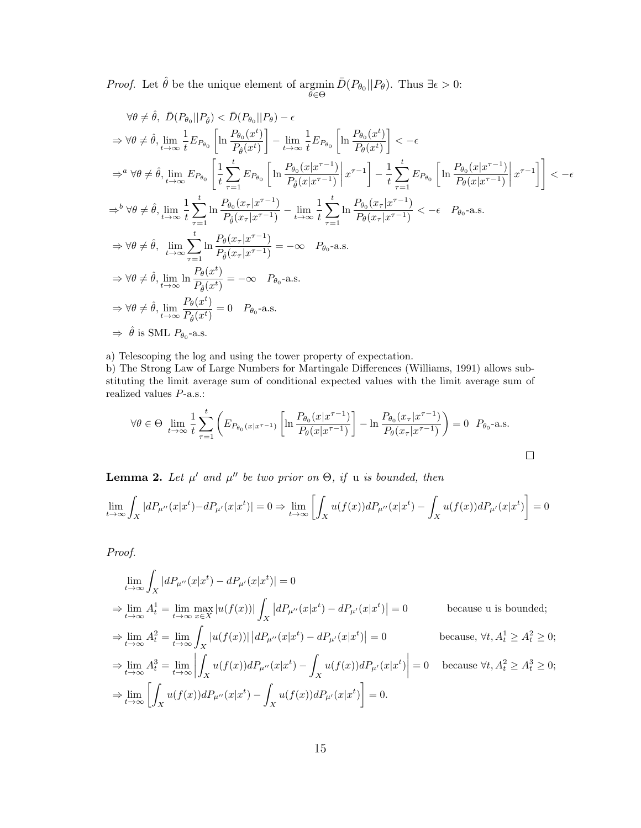*Proof.* Let  $\hat{\theta}$  be the unique element of argmin e gmin  $\bar{D}(P_{\theta_0}||P_{\theta})$ . Thus  $\exists \epsilon > 0$ :

$$
\forall \theta \neq \hat{\theta}, \ \bar{D}(P_{\theta_0}||P_{\hat{\theta}}) < \bar{D}(P_{\theta_0}||P_{\theta}) - \epsilon
$$
\n
$$
\Rightarrow \forall \theta \neq \hat{\theta}, \lim_{t \to \infty} \frac{1}{t} E_{P_{\theta_0}} \left[ \ln \frac{P_{\theta_0}(x^t)}{P_{\hat{\theta}}(x^t)} \right] - \lim_{t \to \infty} \frac{1}{t} E_{P_{\theta_0}} \left[ \ln \frac{P_{\theta_0}(x^t)}{P_{\hat{\theta}}(x^t)} \right] < -\epsilon
$$
\n
$$
\Rightarrow^a \forall \theta \neq \hat{\theta}, \lim_{t \to \infty} E_{P_{\theta_0}} \left[ \frac{1}{t} \sum_{\tau=1}^t E_{P_{\theta_0}} \left[ \ln \frac{P_{\theta_0}(x|x^{\tau-1})}{P_{\hat{\theta}}(x|x^{\tau-1})} \right| x^{\tau-1} \right] - \frac{1}{t} \sum_{\tau=1}^t E_{P_{\theta_0}} \left[ \ln \frac{P_{\theta_0}(x|x^{\tau-1})}{P_{\theta}(x|x^{\tau-1})} \right] x^{\tau-1} \right] < -\epsilon
$$
\n
$$
\Rightarrow^b \forall \theta \neq \hat{\theta}, \lim_{t \to \infty} \frac{1}{t} \sum_{\tau=1}^t \ln \frac{P_{\theta_0}(x_\tau|x^{\tau-1})}{P_{\hat{\theta}}(x_\tau|x^{\tau-1})} - \lim_{t \to \infty} \frac{1}{t} \sum_{\tau=1}^t \ln \frac{P_{\theta_0}(x_\tau|x^{\tau-1})}{P_{\theta}(x_\tau|x^{\tau-1})} < -\epsilon \quad P_{\theta_0} - \text{a.s.}
$$
\n
$$
\Rightarrow \forall \theta \neq \hat{\theta}, \lim_{t \to \infty} \frac{t}{P_{\hat{\theta}}(x^t)} = -\infty \quad P_{\theta_0} - \text{a.s.}
$$
\n
$$
\Rightarrow \forall \theta \neq \hat{\theta}, \lim_{t \to \infty} \frac{P_{\theta}(x^t)}{P_{\hat{\theta}}(x^t)} = -\infty \quad P_{\theta_0} - \text{a.s.}
$$
\n
$$
\Rightarrow \forall \
$$

a) Telescoping the log and using the tower property of expectation.

b) The Strong Law of Large Numbers for Martingale Differences (Williams, 1991) allows substituting the limit average sum of conditional expected values with the limit average sum of realized values P-a.s.:

$$
\forall \theta \in \Theta \lim_{t \to \infty} \frac{1}{t} \sum_{\tau=1}^{t} \left( E_{P_{\theta_0}(x | x^{\tau-1})} \left[ \ln \frac{P_{\theta_0}(x | x^{\tau-1})}{P_{\theta}(x | x^{\tau-1})} \right] - \ln \frac{P_{\theta_0}(x_{\tau} | x^{\tau-1})}{P_{\theta}(x_{\tau} | x^{\tau-1})} \right) = 0 \quad P_{\theta_0} \text{-a.s.}
$$

**Lemma 2.** Let  $\mu'$  and  $\mu''$  be two prior on  $\Theta$ , if u is bounded, then

$$
\lim_{t \to \infty} \int_X |dP_{\mu''}(x|x^t) - dP_{\mu'}(x|x^t)| = 0 \Rightarrow \lim_{t \to \infty} \left[ \int_X u(f(x))dP_{\mu''}(x|x^t) - \int_X u(f(x))dP_{\mu'}(x|x^t) \right] = 0
$$

Proof.

$$
\lim_{t \to \infty} \int_X |dP_{\mu''}(x|x^t) - dP_{\mu'}(x|x^t)| = 0
$$
\n
$$
\Rightarrow \lim_{t \to \infty} A_t^1 = \lim_{t \to \infty} \max_{x \in X} |u(f(x))| \int_X |dP_{\mu''}(x|x^t) - dP_{\mu'}(x|x^t)| = 0
$$
\n
$$
\Rightarrow \lim_{t \to \infty} A_t^2 = \lim_{t \to \infty} \int_X |u(f(x))| |dP_{\mu''}(x|x^t) - dP_{\mu'}(x|x^t)| = 0
$$
\n
$$
\Rightarrow \lim_{t \to \infty} A_t^3 = \lim_{t \to \infty} \int_X u(f(x)) dP_{\mu''}(x|x^t) - \int_X u(f(x)) dP_{\mu'}(x|x^t)| = 0
$$
\n
$$
\Rightarrow \lim_{t \to \infty} \left[ \int_X u(f(x)) dP_{\mu''}(x|x^t) - \int_X u(f(x)) dP_{\mu'}(x|x^t) \right] = 0.
$$
\n
$$
\Rightarrow \lim_{t \to \infty} \left[ \int_X u(f(x)) dP_{\mu''}(x|x^t) - \int_X u(f(x)) dP_{\mu'}(x|x^t) \right] = 0.
$$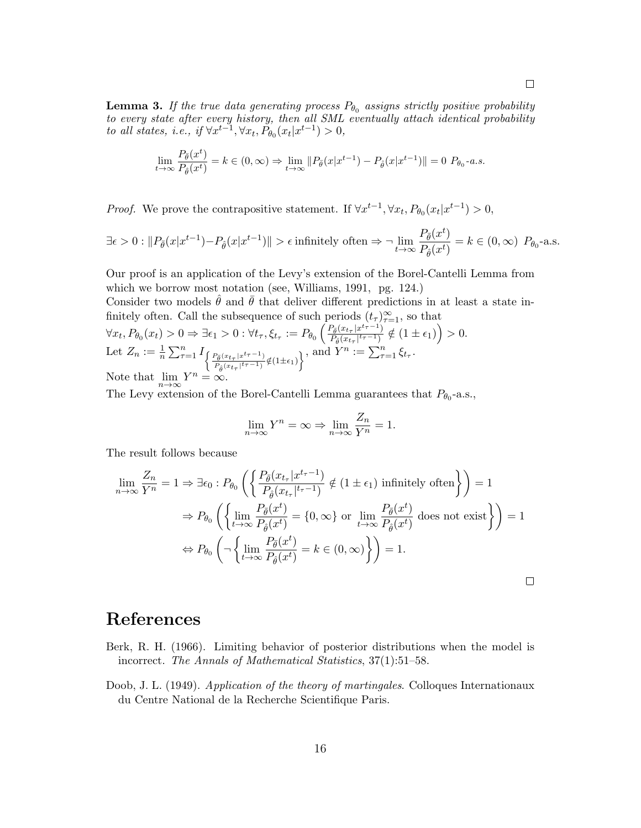**Lemma 3.** If the true data generating process  $P_{\theta_0}$  assigns strictly positive probability to every state after every history, then all SML eventually attach identical probability to all states, i.e., if  $\forall x^{t-1}, \forall x_t, P_{\theta_0}(x_t|x^{t-1}) > 0$ ,

$$
\lim_{t \to \infty} \frac{P_{\tilde{\theta}}(x^t)}{P_{\hat{\theta}}(x^t)} = k \in (0, \infty) \Rightarrow \lim_{t \to \infty} ||P_{\tilde{\theta}}(x|x^{t-1}) - P_{\hat{\theta}}(x|x^{t-1})|| = 0 \ P_{\theta_0} - a.s.
$$

*Proof.* We prove the contrapositive statement. If  $\forall x^{t-1}, \forall x_t, P_{\theta_0}(x_t|x^{t-1}) > 0$ ,

$$
\exists \epsilon > 0 : \|P_{\bar{\theta}}(x|x^{t-1}) - P_{\hat{\theta}}(x|x^{t-1})\| > \epsilon \text{ infinitely often} \Rightarrow \neg \lim_{t \to \infty} \frac{P_{\bar{\theta}}(x^t)}{P_{\hat{\theta}}(x^t)} = k \in (0, \infty) \ P_{\theta_0} \text{-a.s.}
$$

Our proof is an application of the Levy's extension of the Borel-Cantelli Lemma from which we borrow most notation (see, Williams, 1991, pg. 124.)

Consider two models  $\theta$  and  $\theta$  that deliver different predictions in at least a state infinitely often. Call the subsequence of such periods  $(t_{\tau})_{\tau=1}^{\infty}$ , so that  $\forall x_t, P_{\theta_0}(x_t) > 0 \Rightarrow \exists \epsilon_1 > 0 : \forall t_\tau, \xi_{t_\tau} := P_{\theta_0}\left(\frac{P_{\tilde{\theta}}(x_{t_\tau} | x^{t_\tau-1})}{P_{\hat{\theta}}(x_{t_\tau} | t_\tau^{-1})}\right)$  $\frac{P_{\bar{\theta}}(x_{t_{\tau}}|x^{t_{\tau}-1})}{P_{\hat{\theta}}(x_{t_{\tau}}|^{t_{\tau}-1})} \notin (1 \pm \epsilon_1)\Big) > 0.$ Let  $Z_n := \frac{1}{n} \sum_{\tau=1}^n I_{\int \frac{P_{\bar{\theta}}(x_{t_{\tau}}|x^{t_{\tau}-1})}{\sigma}}$  $\left\{\frac{P_{\tilde{\theta}}(x_{t_{\tau}}|x^{t_{\tau}-1})}{P_{\hat{\theta}}(x_{t_{\tau}}|t_{\tau}-1)}\right\}}$ , and  $Y^n:=\sum_{\tau=1}^n \xi_{t_{\tau}}$ . Note that  $\lim_{n\to\infty} Y^n = \infty$ .

The Levy extension of the Borel-Cantelli Lemma guarantees that  $P_{\theta_0}$ -a.s.,

$$
\lim_{n \to \infty} Y^n = \infty \Rightarrow \lim_{n \to \infty} \frac{Z_n}{Y^n} = 1.
$$

The result follows because

$$
\lim_{n \to \infty} \frac{Z_n}{Y^n} = 1 \Rightarrow \exists \epsilon_0 : P_{\theta_0} \left( \left\{ \frac{P_{\tilde{\theta}}(x_{t_{\tau}} | x^{t_{\tau}-1})}{P_{\hat{\theta}}(x_{t_{\tau}} | t_{\tau}-1)} \notin (1 \pm \epsilon_1) \text{ infinitely often} \right\} \right) = 1
$$

$$
\Rightarrow P_{\theta_0} \left( \left\{ \lim_{t \to \infty} \frac{P_{\tilde{\theta}}(x^t)}{P_{\hat{\theta}}(x^t)} = \{0, \infty\} \text{ or } \lim_{t \to \infty} \frac{P_{\tilde{\theta}}(x^t)}{P_{\hat{\theta}}(x^t)} \text{ does not exist} \right\} \right) = 1
$$

$$
\Leftrightarrow P_{\theta_0} \left( \neg \left\{ \lim_{t \to \infty} \frac{P_{\tilde{\theta}}(x^t)}{P_{\hat{\theta}}(x^t)} = k \in (0, \infty) \right\} \right) = 1.
$$

## References

- Berk, R. H. (1966). Limiting behavior of posterior distributions when the model is incorrect. The Annals of Mathematical Statistics, 37(1):51–58.
- Doob, J. L. (1949). Application of the theory of martingales. Colloques Internationaux du Centre National de la Recherche Scientifique Paris.